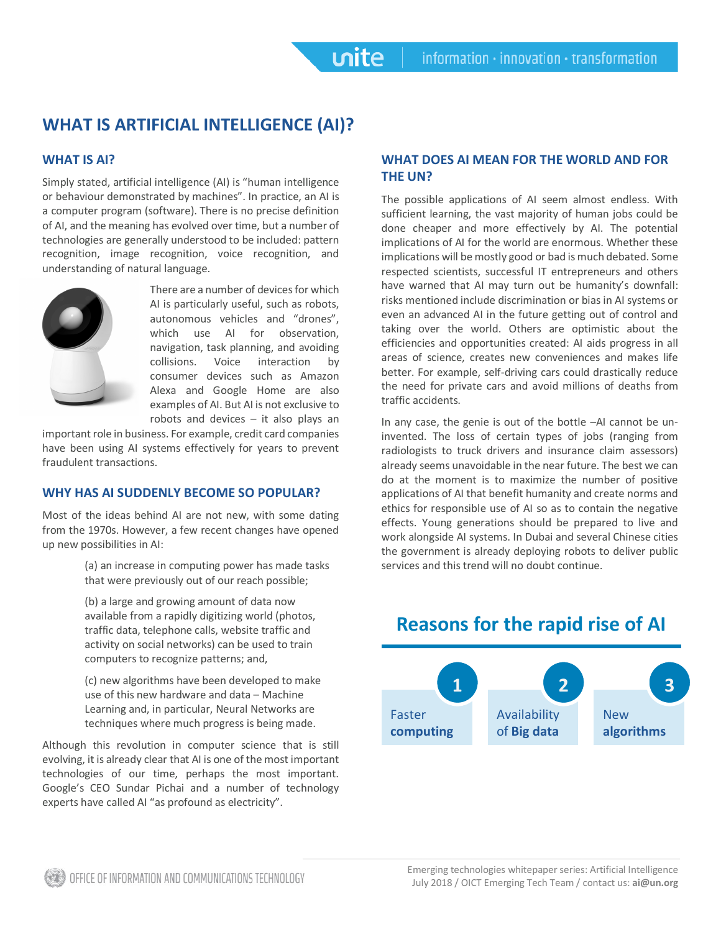# **WHAT IS ARTIFICIAL INTELLIGENCE (AI)?**

## **WHAT IS AI?**

Simply stated, artificial intelligence (AI) is "human intelligence or behaviour demonstrated by machines". In practice, an AI is a computer program (software). There is no precise definition of AI, and the meaning has evolved over time, but a number of technologies are generally understood to be included: pattern recognition, image recognition, voice recognition, and understanding of natural language.



There are a number of devices for which AI is particularly useful, such as robots, autonomous vehicles and "drones", which use AI for observation, navigation, task planning, and avoiding collisions. Voice interaction by consumer devices such as Amazon Alexa and Google Home are also examples of AI. But AI is not exclusive to robots and devices – it also plays an

**unite** 

important role in business. For example, credit card companies have been using AI systems effectively for years to prevent fraudulent transactions.

## **WHY HAS AI SUDDENLY BECOME SO POPULAR?**

Most of the ideas behind AI are not new, with some dating from the 1970s. However, a few recent changes have opened up new possibilities in AI:

> (a) an increase in computing power has made tasks that were previously out of our reach possible;

(b) a large and growing amount of data now available from a rapidly digitizing world (photos, traffic data, telephone calls, website traffic and activity on social networks) can be used to train computers to recognize patterns; and,

(c) new algorithms have been developed to make use of this new hardware and data – Machine Learning and, in particular, Neural Networks are techniques where much progress is being made.

Although this revolution in computer science that is still evolving, it is already clear that AI is one of the most important technologies of our time, perhaps the most important. Google's CEO Sundar Pichai and a number of technology experts have called AI "as profound as electricity".

## **WHAT DOES AI MEAN FOR THE WORLD AND FOR THE UN?**

The possible applications of AI seem almost endless. With sufficient learning, the vast majority of human jobs could be done cheaper and more effectively by AI. The potential implications of AI for the world are enormous. Whether these implications will be mostly good or bad is much debated. Some respected scientists, successful IT entrepreneurs and others have warned that AI may turn out be humanity's downfall: risks mentioned include discrimination or bias in AI systems or even an advanced AI in the future getting out of control and taking over the world. Others are optimistic about the efficiencies and opportunities created: AI aids progress in all areas of science, creates new conveniences and makes life better. For example, self-driving cars could drastically reduce the need for private cars and avoid millions of deaths from traffic accidents.

In any case, the genie is out of the bottle –AI cannot be uninvented. The loss of certain types of jobs (ranging from radiologists to truck drivers and insurance claim assessors) already seems unavoidable in the near future. The best we can do at the moment is to maximize the number of positive applications of AI that benefit humanity and create norms and ethics for responsible use of AI so as to contain the negative effects. Young generations should be prepared to live and work alongside AI systems. In Dubai and several Chinese cities the government is already deploying robots to deliver public services and this trend will no doubt continue.

#### Faster **computing 1** Availability of **Big data 2** New **algorithms 3**

# **Reasons for the rapid rise of AI**